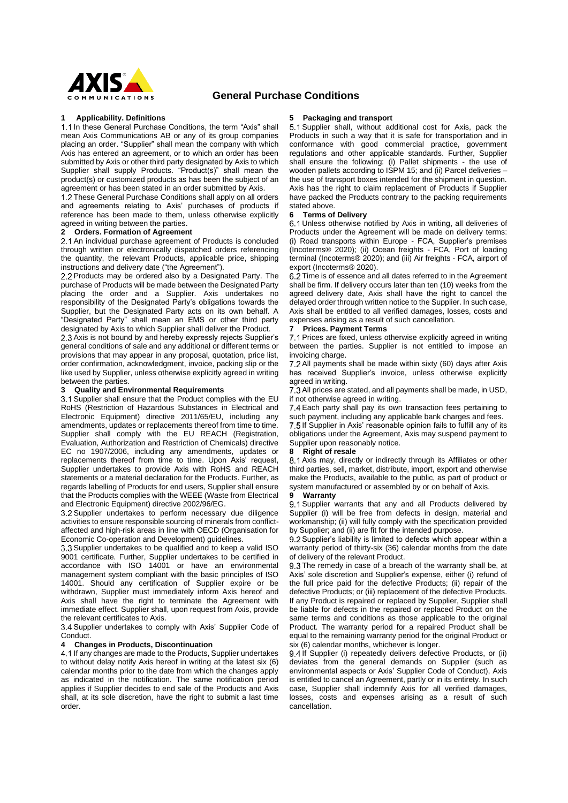

# **General Purchase Conditions**

## **1 Applicability. Definitions**

1.1 In these General Purchase Conditions, the term "Axis" shall mean Axis Communications AB or any of its group companies placing an order. "Supplier" shall mean the company with which Axis has entered an agreement, or to which an order has been submitted by Axis or other third party designated by Axis to which Supplier shall supply Products. "Product(s)" shall mean the product(s) or customized products as has been the subject of an agreement or has been stated in an order submitted by Axis.

1.2 These General Purchase Conditions shall apply on all orders and agreements relating to Axis' purchases of products if reference has been made to them, unless otherwise explicitly agreed in writing between the parties.

## **2 Orders. Formation of Agreement**

2.1 An individual purchase agreement of Products is concluded through written or electronically dispatched orders referencing the quantity, the relevant Products, applicable price, shipping instructions and delivery date ("the Agreement").

2.2 Products may be ordered also by a Designated Party. The purchase of Products will be made between the Designated Party placing the order and a Supplier. Axis undertakes no responsibility of the Designated Party's obligations towards the Supplier, but the Designated Party acts on its own behalf. A "Designated Party" shall mean an EMS or other third party designated by Axis to which Supplier shall deliver the Product.

2.3 Axis is not bound by and hereby expressly rejects Supplier's general conditions of sale and any additional or different terms or provisions that may appear in any proposal, quotation, price list, order confirmation, acknowledgment, invoice, packing slip or the like used by Supplier, unless otherwise explicitly agreed in writing between the parties.

## **3 Quality and Environmental Requirements**

3.1 Supplier shall ensure that the Product complies with the EU RoHS (Restriction of Hazardous Substances in Electrical and Electronic Equipment) directive 2011/65/EU, including any amendments, updates or replacements thereof from time to time. Supplier shall comply with the EU REACH (Registration, Evaluation, Authorization and Restriction of Chemicals) directive EC no 1907/2006, including any amendments, updates or replacements thereof from time to time. Upon Axis' request, Supplier undertakes to provide Axis with RoHS and REACH statements or a material declaration for the Products. Further, as regards labelling of Products for end users, Supplier shall ensure that the Products complies with the WEEE (Waste from Electrical and Electronic Equipment) directive 2002/96/EG.

Supplier undertakes to perform necessary due diligence activities to ensure responsible sourcing of minerals from conflictaffected and high-risk areas in line with OECD (Organisation for Economic Co-operation and Development) guidelines.

3.3 Supplier undertakes to be qualified and to keep a valid ISO 9001 certificate. Further, Supplier undertakes to be certified in accordance with ISO 14001 or have an environmental management system compliant with the basic principles of ISO 14001. Should any certification of Supplier expire or be withdrawn, Supplier must immediately inform Axis hereof and Axis shall have the right to terminate the Agreement with immediate effect. Supplier shall, upon request from Axis, provide the relevant certificates to Axis.

3.4 Supplier undertakes to comply with Axis' Supplier Code of Conduct.

## **4 Changes in Products, Discontinuation**

If any changes are made to the Products, Supplier undertakes to without delay notify Axis hereof in writing at the latest six (6) calendar months prior to the date from which the changes apply as indicated in the notification. The same notification period applies if Supplier decides to end sale of the Products and Axis shall, at its sole discretion, have the right to submit a last time order.

## **5 Packaging and transport**

Supplier shall, without additional cost for Axis, pack the Products in such a way that it is safe for transportation and in conformance with good commercial practice, government regulations and other applicable standards. Further, Supplier shall ensure the following: (i) Pallet shipments - the use of wooden pallets according to ISPM 15; and (ii) Parcel deliveries the use of transport boxes intended for the shipment in question. Axis has the right to claim replacement of Products if Supplier have packed the Products contrary to the packing requirements stated above.

## **6 Terms of Delivery**

Unless otherwise notified by Axis in writing, all deliveries of Products under the Agreement will be made on delivery terms: (i) Road transports within Europe - FCA, Supplier's premises (Incoterms® 2020); (ii) Ocean freights - FCA, Port of loading terminal (Incoterms® 2020); and (iii) Air freights - FCA, airport of export (Incoterms® 2020).

 $6.2$  Time is of essence and all dates referred to in the Agreement shall be firm. If delivery occurs later than ten (10) weeks from the agreed delivery date, Axis shall have the right to cancel the delayed order through written notice to the Supplier. In such case, Axis shall be entitled to all verified damages, losses, costs and expenses arising as a result of such cancellation.

### **7 Prices. Payment Terms**

Prices are fixed, unless otherwise explicitly agreed in writing between the parties. Supplier is not entitled to impose an invoicing charge.

7.2 All payments shall be made within sixty (60) days after Axis has received Supplier's invoice, unless otherwise explicitly agreed in writing.

7.3 All prices are stated, and all payments shall be made, in USD, if not otherwise agreed in writing.

Each party shall pay its own transaction fees pertaining to such payment, including any applicable bank charges and fees. 7.5 If Supplier in Axis' reasonable opinion fails to fulfill any of its obligations under the Agreement, Axis may suspend payment to Supplier upon reasonably notice.

## **8 Right of resale**

8.1 Axis may, directly or indirectly through its Affiliates or other third parties, sell, market, distribute, import, export and otherwise make the Products, available to the public, as part of product or system manufactured or assembled by or on behalf of Axis.

# **9 Warranty**

9.1 Supplier warrants that any and all Products delivered by Supplier (i) will be free from defects in design, material and workmanship; (ii) will fully comply with the specification provided by Supplier; and (ii) are fit for the intended purpose.

9.2 Supplier's liability is limited to defects which appear within a warranty period of thirty-six (36) calendar months from the date of delivery of the relevant Product.

9.3 The remedy in case of a breach of the warranty shall be, at Axis' sole discretion and Supplier's expense, either (i) refund of the full price paid for the defective Products; (ii) repair of the defective Products; or (iii) replacement of the defective Products. If any Product is repaired or replaced by Supplier, Supplier shall be liable for defects in the repaired or replaced Product on the same terms and conditions as those applicable to the original Product. The warranty period for a repaired Product shall be equal to the remaining warranty period for the original Product or six (6) calendar months, whichever is longer.

9.4 If Supplier (i) repeatedly delivers defective Products, or (ii) deviates from the general demands on Supplier (such as environmental aspects or Axis' Supplier Code of Conduct), Axis is entitled to cancel an Agreement, partly or in its entirety. In such case, Supplier shall indemnify Axis for all verified damages, losses, costs and expenses arising as a result of such cancellation.